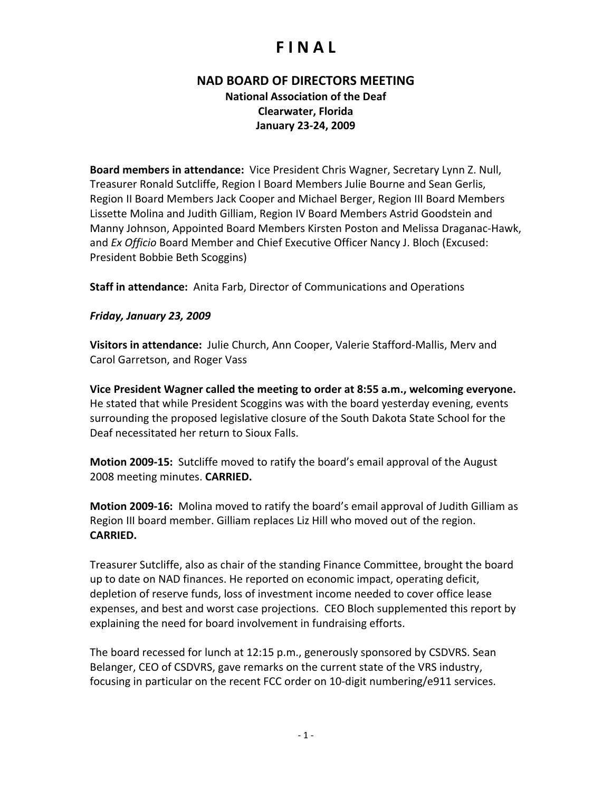# **F I N A L**

### **NAD BOARD OF DIRECTORS MEETING National Association of the Deaf Clearwater, Florida January 23‐24, 2009**

**Board members in attendance:** Vice President Chris Wagner, Secretary Lynn Z. Null, Treasurer Ronald Sutcliffe, Region I Board Members Julie Bourne and Sean Gerlis, Region II Board Members Jack Cooper and Michael Berger, Region III Board Members Lissette Molina and Judith Gilliam, Region IV Board Members Astrid Goodstein and Manny Johnson, Appointed Board Members Kirsten Poston and Melissa Draganac‐Hawk, and *Ex Officio* Board Member and Chief Executive Officer Nancy J. Bloch (Excused: President Bobbie Beth Scoggins)

**Staff in attendance:** Anita Farb, Director of Communications and Operations

#### *Friday, January 23, 2009*

**Visitors in attendance:** Julie Church, Ann Cooper, Valerie Stafford‐Mallis, Merv and Carol Garretson, and Roger Vass

**Vice President Wagner called the meeting to order at 8:55 a.m., welcoming everyone.** He stated that while President Scoggins was with the board yesterday evening, events surrounding the proposed legislative closure of the South Dakota State School for the Deaf necessitated her return to Sioux Falls.

**Motion 2009‐15:** Sutcliffe moved to ratify the board's email approval of the August 2008 meeting minutes. **CARRIED.**

**Motion 2009‐16:** Molina moved to ratify the board's email approval of Judith Gilliam as Region III board member. Gilliam replaces Liz Hill who moved out of the region. **CARRIED.**

Treasurer Sutcliffe, also as chair of the standing Finance Committee, brought the board up to date on NAD finances. He reported on economic impact, operating deficit, depletion of reserve funds, loss of investment income needed to cover office lease expenses, and best and worst case projections. CEO Bloch supplemented this report by explaining the need for board involvement in fundraising efforts.

The board recessed for lunch at 12:15 p.m., generously sponsored by CSDVRS. Sean Belanger, CEO of CSDVRS, gave remarks on the current state of the VRS industry, focusing in particular on the recent FCC order on 10‐digit numbering/e911 services.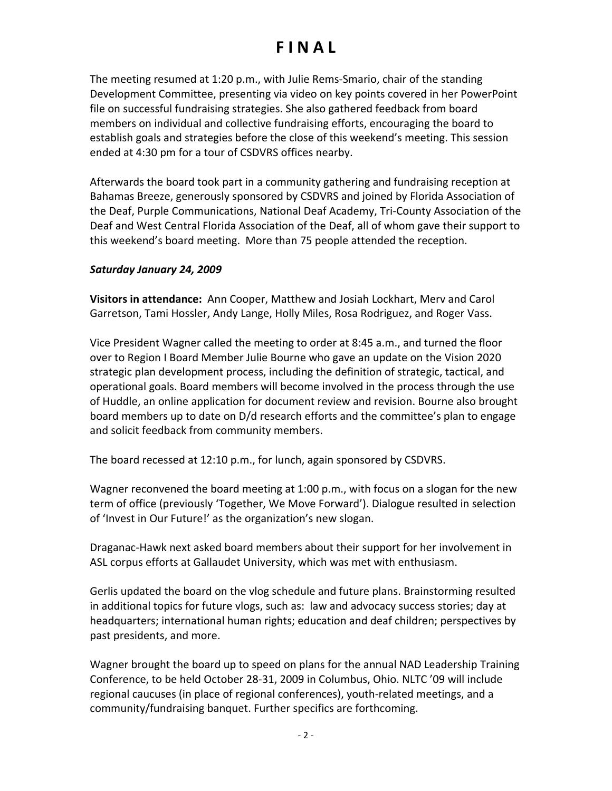# **F I N A L**

The meeting resumed at 1:20 p.m., with Julie Rems‐Smario, chair of the standing Development Committee, presenting via video on key points covered in her PowerPoint file on successful fundraising strategies. She also gathered feedback from board members on individual and collective fundraising efforts, encouraging the board to establish goals and strategies before the close of this weekend's meeting. This session ended at 4:30 pm for a tour of CSDVRS offices nearby.

Afterwards the board took part in a community gathering and fundraising reception at Bahamas Breeze, generously sponsored by CSDVRS and joined by Florida Association of the Deaf, Purple Communications, National Deaf Academy, Tri‐County Association of the Deaf and West Central Florida Association of the Deaf, all of whom gave their support to this weekend's board meeting. More than 75 people attended the reception.

#### *Saturday January 24, 2009*

**Visitors in attendance:** Ann Cooper, Matthew and Josiah Lockhart, Merv and Carol Garretson, Tami Hossler, Andy Lange, Holly Miles, Rosa Rodriguez, and Roger Vass.

Vice President Wagner called the meeting to order at 8:45 a.m., and turned the floor over to Region I Board Member Julie Bourne who gave an update on the Vision 2020 strategic plan development process, including the definition of strategic, tactical, and operational goals. Board members will become involved in the process through the use of Huddle, an online application for document review and revision. Bourne also brought board members up to date on D/d research efforts and the committee's plan to engage and solicit feedback from community members.

The board recessed at 12:10 p.m., for lunch, again sponsored by CSDVRS.

Wagner reconvened the board meeting at 1:00 p.m., with focus on a slogan for the new term of office (previously 'Together, We Move Forward'). Dialogue resulted in selection of 'Invest in Our Future!' as the organization's new slogan.

Draganac‐Hawk next asked board members about their support for her involvement in ASL corpus efforts at Gallaudet University, which was met with enthusiasm.

Gerlis updated the board on the vlog schedule and future plans. Brainstorming resulted in additional topics for future vlogs, such as: law and advocacy success stories; day at headquarters; international human rights; education and deaf children; perspectives by past presidents, and more.

Wagner brought the board up to speed on plans for the annual NAD Leadership Training Conference, to be held October 28‐31, 2009 in Columbus, Ohio. NLTC '09 will include regional caucuses (in place of regional conferences), youth‐related meetings, and a community/fundraising banquet. Further specifics are forthcoming.